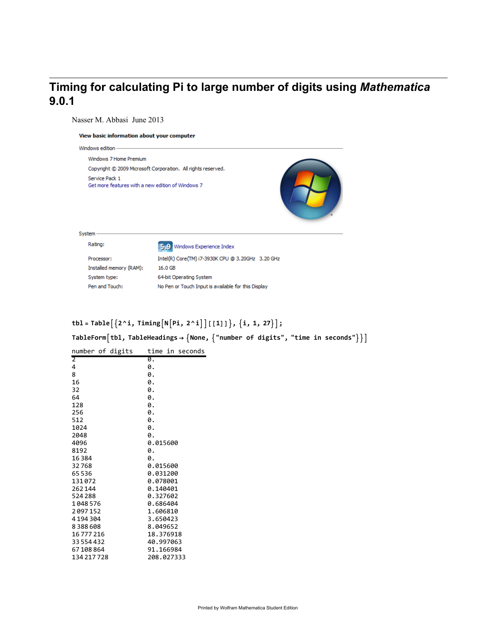# **Timing for calculating Pi to large number of digits using** Mathematica **9.0.1**

Nasser M. Abbasi June 2013

#### View basic information about your computer

| Windows edition -                                                   |  |
|---------------------------------------------------------------------|--|
| Windows 7 Home Premium                                              |  |
| Copyright © 2009 Microsoft Corporation. All rights reserved.        |  |
| Service Pack 1<br>Get more features with a new edition of Windows 7 |  |

| System- |                         |                                                     |
|---------|-------------------------|-----------------------------------------------------|
|         |                         |                                                     |
|         | Rating:                 | 5.9 Windows Experience Index                        |
|         | Processor:              | Intel(R) Core(TM) i7-3930K CPU @ 3.20GHz 3.20 GHz   |
|         | Installed memory (RAM): | 16.0 GB                                             |
|         | System type:            | 64-bit Operating System                             |
|         | Pen and Touch:          | No Pen or Touch Input is available for this Display |
|         |                         |                                                     |

## $\text{tbl} = \text{Table}[\{2^{\land}i, \text{Timing}\big[N\big[Pi, 2^{\land}i\big]\big]\big[\, [1]\,\big]\}, \{i, 1, 27\}\big];$

**TableFormtbl, TableHeadings → None, "number of digits", "time in seconds"**

| number of digits | time in seconds |
|------------------|-----------------|
| $\overline{2}$   | Ø.              |
| 4                | 0.              |
| 8                | 0.              |
| 16               | 0.              |
| 32               | 0.              |
| 64               | 0.              |
| 128              | 0.              |
| 256              | 0.              |
| 512              | 0.              |
| 1024             | 0.              |
| 2048             | 0.              |
| 4096             | 0.015600        |
| 8192             | 0.              |
| 16384            | 0.              |
| 32768            | 0.015600        |
| 65536            | 0.031200        |
| 131072           | 0.078001        |
| 262144           | 0.140401        |
| 524288           | 0.327602        |
| 1048576          | 0.686404        |
| 2097152          | 1.606810        |
| 4194304          | 3.650423        |
| 8388608          | 8.049652        |
| 16777216         | 18.376918       |
| 33554432         | 40.997063       |
| 67108864         | 91.166984       |
| 134 217 728      | 208.027333      |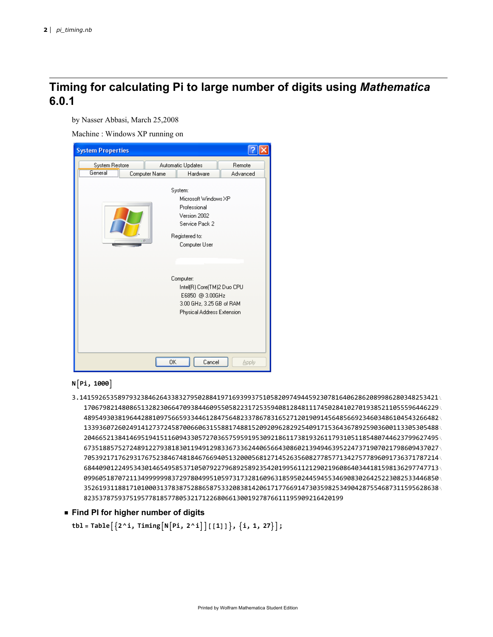## **Timing for calculating Pi to large number of digits using** Mathematica **6.0.1**

by Nasser Abbasi, March 25,2008

Machine : Windows XP running on

| <b>System Properties</b>  |               |                                                                                                                      |                    |  |
|---------------------------|---------------|----------------------------------------------------------------------------------------------------------------------|--------------------|--|
| System Restore<br>General | Computer Name | Automatic Updates<br>Hardware                                                                                        | Remote<br>Advanced |  |
| $\cdot$ 0                 | System:       | Microsoft Windows XP<br>Professional<br>Version 2002<br>Service Pack 2<br>Registered to:<br>Computer User            |                    |  |
|                           |               | Computer:<br>Intel(R) Core(TM)2 Duo CPU<br>E6850 @ 3.00GHz<br>3.00 GHz, 3.25 GB of RAM<br>Physical Address Extension |                    |  |
|                           | OK            | Cancel                                                                                                               | <b>Apply</b>       |  |

### **NPi, 1000**

- 3.1415926535897932384626433832795028841971693993751058209749445923078164062862089986280348253421 170679821480865132823066470938446095505822317253594081284811174502841027019385211055596446229 489549303819644288109756659334461284756482337867831652712019091456485669234603486104543266482 133936072602491412737245870066063155881748815209209628292540917153643678925903600113305305488 204665213841469519415116094330572703657595919530921861173819326117931051185480744623799627495 673518857527248912279381830119491298336733624406566430860213949463952247371907021798609437027 705392171762931767523846748184676694051320005681271452635608277857713427577896091736371787214 684409012249534301465495853710507922796892589235420199561121290219608640344181598136297747713 099605187072113499999983729780499510597317328160963185950244594553469083026425223082533446850 352619311881710100031378387528865875332083814206171776691473035982534904287554687311595628638 82353787593751957781857780532171226806613001927876611195909216420199
- **◼ Find PI for higher number of digits**

**tbl = Table2 ^ i, TimingNPi, 2 ^ i[[1]], i, 1, 27;**